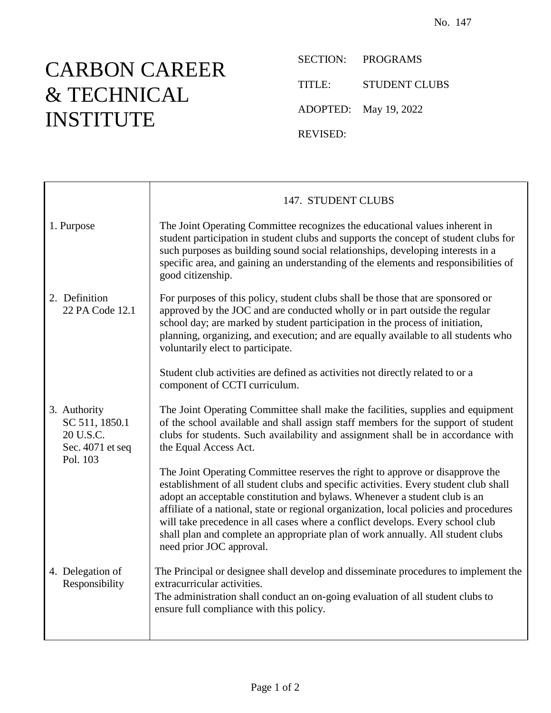## CARBON CAREER & TECHNICAL INSTITUTE

SECTION: PROGRAMS TITLE: STUDENT CLUBS ADOPTED: May 19, 2022 REVISED:

|                                                                             | 147. STUDENT CLUBS                                                                                                                                                                                                                                                                                                                                                                                                                                                                                                                             |
|-----------------------------------------------------------------------------|------------------------------------------------------------------------------------------------------------------------------------------------------------------------------------------------------------------------------------------------------------------------------------------------------------------------------------------------------------------------------------------------------------------------------------------------------------------------------------------------------------------------------------------------|
| 1. Purpose                                                                  | The Joint Operating Committee recognizes the educational values inherent in<br>student participation in student clubs and supports the concept of student clubs for<br>such purposes as building sound social relationships, developing interests in a<br>specific area, and gaining an understanding of the elements and responsibilities of<br>good citizenship.                                                                                                                                                                             |
| 2. Definition<br>22 PA Code 12.1                                            | For purposes of this policy, student clubs shall be those that are sponsored or<br>approved by the JOC and are conducted wholly or in part outside the regular<br>school day; are marked by student participation in the process of initiation,<br>planning, organizing, and execution; and are equally available to all students who<br>voluntarily elect to participate.                                                                                                                                                                     |
|                                                                             | Student club activities are defined as activities not directly related to or a<br>component of CCTI curriculum.                                                                                                                                                                                                                                                                                                                                                                                                                                |
| 3. Authority<br>SC 511, 1850.1<br>20 U.S.C.<br>Sec. 4071 et seq<br>Pol. 103 | The Joint Operating Committee shall make the facilities, supplies and equipment<br>of the school available and shall assign staff members for the support of student<br>clubs for students. Such availability and assignment shall be in accordance with<br>the Equal Access Act.                                                                                                                                                                                                                                                              |
|                                                                             | The Joint Operating Committee reserves the right to approve or disapprove the<br>establishment of all student clubs and specific activities. Every student club shall<br>adopt an acceptable constitution and bylaws. Whenever a student club is an<br>affiliate of a national, state or regional organization, local policies and procedures<br>will take precedence in all cases where a conflict develops. Every school club<br>shall plan and complete an appropriate plan of work annually. All student clubs<br>need prior JOC approval. |
| 4. Delegation of<br>Responsibility                                          | The Principal or designee shall develop and disseminate procedures to implement the<br>extracurricular activities.<br>The administration shall conduct an on-going evaluation of all student clubs to<br>ensure full compliance with this policy.                                                                                                                                                                                                                                                                                              |